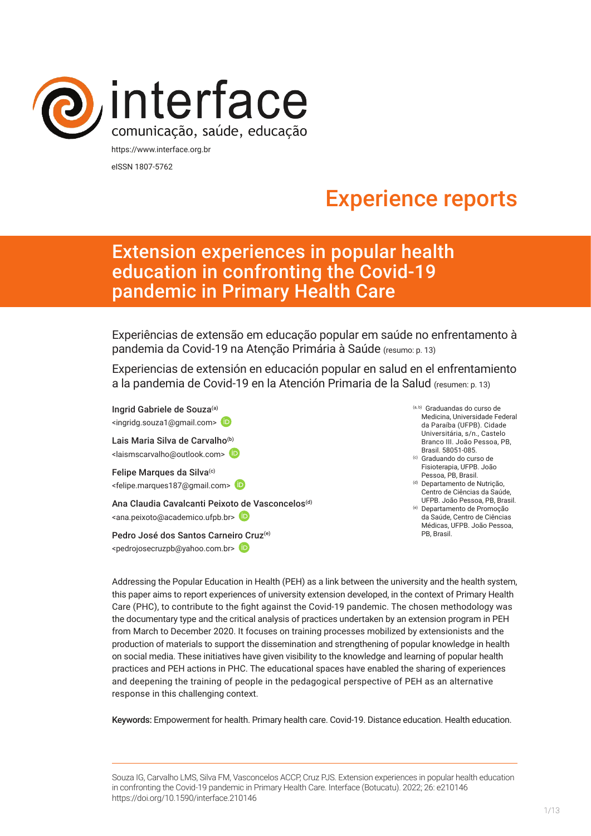

eISSN 1807-5762

# Experience reports

# Extension experiences in popular health education in confronting the Covid-19 pandemic in Primary Health Care

Experiências de extensão em educação popular em saúde no enfrentamento à pandemia da Covid-19 na Atenção Primária à Saúde (resumo: p. 13)

Experiencias de extensión en educación popular en salud en el enfrentamiento a la pandemia de Covid-19 en la Atención Primaria de la Salud (resumen: p. 13)

Ingrid Gabriele de Souza<sup>(a)</sup> <ingridg.souza1@gmail.com> Lais Maria Silva de Carvalho<sup>(b)</sup> <laismscarvalho@outlook.com> Felipe Marques da Silva<sup>(c)</sup> <felipe.marques187@gmail.com> Ana Claudia Cavalcanti Peixot[o de](https://orcid.org/0000-0003-0450-8760) Vasconcelos<sup>(d)</sup> <ana.peixoto@academico.ufpb.br>

Pedro José dos Santos Carnei[ro C](https://orcid.org/0000-0003-0610-3273)ruz<sup>(e)</sup> <pedrojosecruzpb@yahoo.com.br>

- (a, b) Graduandas do curso de Medicina, Universidade Federal da Paraíba (UFPB). Cidade Universitária, s/n., Castelo Branco III. João Pessoa, PB, Brasil. 58051-085.
- (c) Graduando do curso de Fisioterapia, UFPB. João Pessoa, PB, Brasil.
- <sup>(d)</sup> Departamento de Nutricão. Centro de Ciências da Saúde, UFPB. João Pessoa, PB, Brasil.
- (e) Departamento de Promoção da Saúde, Centro de Ciências Médicas, UFPB. João Pessoa, PB, Brasil.

Addressing the Popular Education in Health (PEH) as a link between the university and the health system, this paper aims to report experiences of university extension developed, in the context of Primary Health Care (PHC), to contribute to the fight against the Covid-19 pandemic. The chosen methodology was the documentary type and the critical analysis of practices undertaken by an extension program in PEH from March to December 2020. It focuses on training processes mobilized by extensionists and the production of materials to support the dissemination and strengthening of popular knowledge in health on social media. These initiatives have given visibility to the knowledge and learning of popular health practices and PEH actions in PHC. The educational spaces have enabled the sharing of experiences and deepening the training of people in the pedagogical perspective of PEH as an alternative response in this challenging context.

Keywords: Empowerment for health. Primary health care. Covid-19. Distance education. Health education.

Souza IG, Carvalho LMS, Silva FM, Vasconcelos ACCP, Cruz PJS. Extension experiences in popular health education in confronting the Covid-19 pandemic in Primary Health Care. Interface (Botucatu). 2022; 26: e210146 [https://](https://10.11606/S1518-787.201805200XXXX)doi.org/10.1590/interface.210146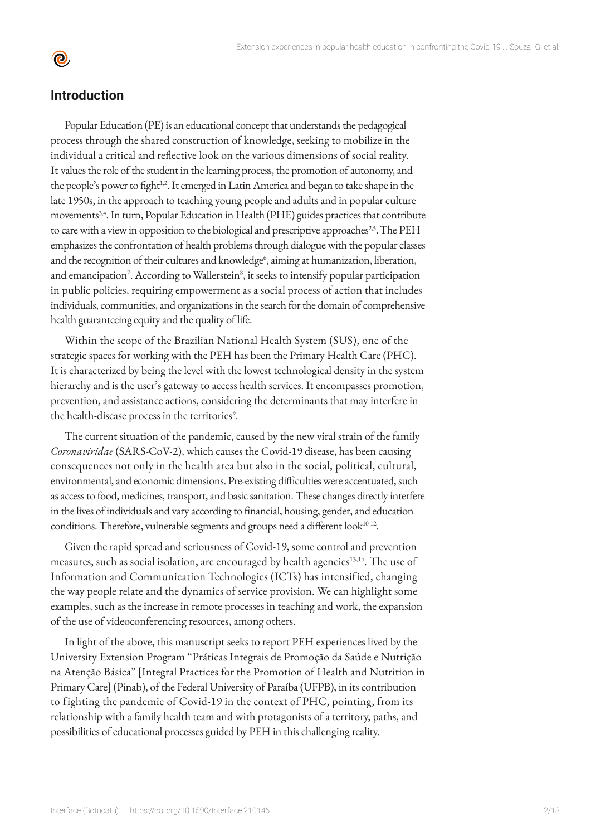## **Introduction**

<u>ල</u>

Popular Education (PE) is an educational concept that understands the pedagogical process through the shared construction of knowledge, seeking to mobilize in the individual a critical and reflective look on the various dimensions of social reality. It values the role of the student in the learning process, the promotion of autonomy, and the people's power to fight<sup>1,2</sup>. It emerged in Latin America and began to take shape in the late 1950s, in the approach to teaching young people and adults and in popular culture movements<sup>3,4</sup>. In turn, Popular Education in Health (PHE) guides practices that contribute to care with a view in opposition to the biological and prescriptive approaches<sup>25</sup>. The PEH emphasizes the confrontation of health problems through dialogue with the popular classes and the recognition of their cultures and knowledge<sup>6</sup>, aiming at humanization, liberation, and emancipation<sup>7</sup>. According to Wallerstein<sup>8</sup>, it seeks to intensify popular participation in public policies, requiring empowerment as a social process of action that includes individuals, communities, and organizations in the search for the domain of comprehensive health guaranteeing equity and the quality of life.

Within the scope of the Brazilian National Health System (SUS), one of the strategic spaces for working with the PEH has been the Primary Health Care (PHC). It is characterized by being the level with the lowest technological density in the system hierarchy and is the user's gateway to access health services. It encompasses promotion, prevention, and assistance actions, considering the determinants that may interfere in the health-disease process in the territories<sup>9</sup>.

The current situation of the pandemic, caused by the new viral strain of the family *Coronaviridae* (SARS-CoV-2), which causes the Covid-19 disease, has been causing consequences not only in the health area but also in the social, political, cultural, environmental, and economic dimensions. Pre-existing difficulties were accentuated, such as access to food, medicines, transport, and basic sanitation. These changes directly interfere in the lives of individuals and vary according to financial, housing, gender, and education conditions. Therefore, vulnerable segments and groups need a different look<sup>10-12</sup>.

Given the rapid spread and seriousness of Covid-19, some control and prevention measures, such as social isolation, are encouraged by health agencies<sup>13,14</sup>. The use of Information and Communication Technologies (ICTs) has intensified, changing the way people relate and the dynamics of service provision. We can highlight some examples, such as the increase in remote processes in teaching and work, the expansion of the use of videoconferencing resources, among others.

In light of the above, this manuscript seeks to report PEH experiences lived by the University Extension Program "Práticas Integrais de Promoção da Saúde e Nutrição na Atenção Básica" [Integral Practices for the Promotion of Health and Nutrition in Primary Care] (Pinab), of the Federal University of Paraíba (UFPB), in its contribution to fighting the pandemic of Covid-19 in the context of PHC, pointing, from its relationship with a family health team and with protagonists of a territory, paths, and possibilities of educational processes guided by PEH in this challenging reality.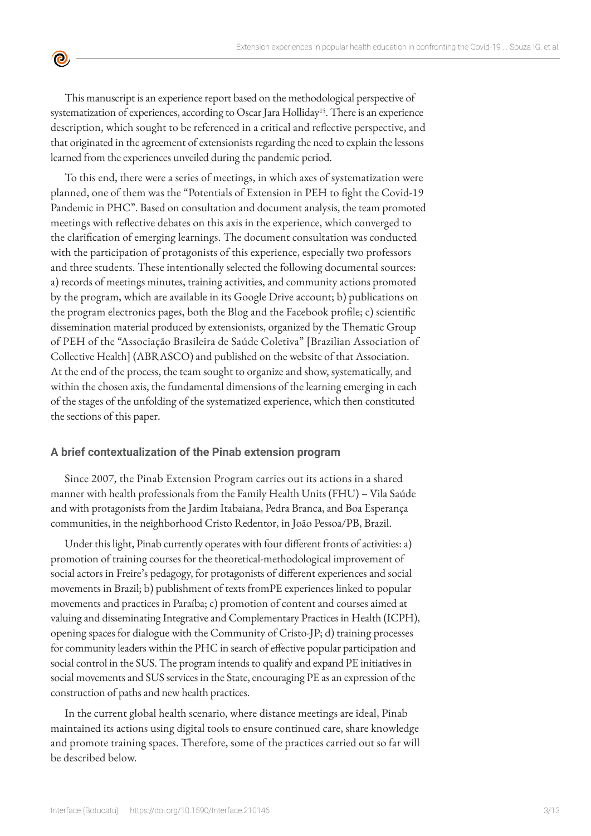This manuscript is an experience report based on the methodological perspective of systematization of experiences, according to Oscar Jara Holliday<sup>15</sup>. There is an experience description, which sought to be referenced in a critical and reflective perspective, and that originated in the agreement of extensionists regarding the need to explain the lessons learned from the experiences unveiled during the pandemic period.

 $\bullet$ 

To this end, there were a series of meetings, in which axes of systematization were planned, one of them was the "Potentials of Extension in PEH to fight the Covid-19 Pandemic in PHC". Based on consultation and document analysis, the team promoted meetings with reflective debates on this axis in the experience, which converged to the clarification of emerging learnings. The document consultation was conducted with the participation of protagonists of this experience, especially two professors and three students. These intentionally selected the following documental sources: a) records of meetings minutes, training activities, and community actions promoted by the program, which are available in its Google Drive account; b) publications on the program electronics pages, both the Blog and the Facebook profile; c) scientific dissemination material produced by extensionists, organized by the Thematic Group of PEH of the "Associação Brasileira de Saúde Coletiva" [Brazilian Association of Collective Health] (ABRASCO) and published on the website of that Association. At the end of the process, the team sought to organize and show, systematically, and within the chosen axis, the fundamental dimensions of the learning emerging in each of the stages of the unfolding of the systematized experience, which then constituted the sections of this paper.

#### **A brief contextualization of the Pinab extension program**

Since 2007, the Pinab Extension Program carries out its actions in a shared manner with health professionals from the Family Health Units (FHU) – Vila Saúde and with protagonists from the Jardim Itabaiana, Pedra Branca, and Boa Esperança communities, in the neighborhood Cristo Redentor, in João Pessoa/PB, Brazil.

Under this light, Pinab currently operates with four different fronts of activities: a) promotion of training courses for the theoretical-methodological improvement of social actors in Freire's pedagogy, for protagonists of different experiences and social movements in Brazil; b) publishment of texts fromPE experiences linked to popular movements and practices in Paraíba; c) promotion of content and courses aimed at valuing and disseminating Integrative and Complementary Practices in Health (ICPH), opening spaces for dialogue with the Community of Cristo-JP; d) training processes for community leaders within the PHC in search of effective popular participation and social control in the SUS. The program intends to qualify and expand PE initiatives in social movements and SUS services in the State, encouraging PE as an expression of the construction of paths and new health practices.

In the current global health scenario, where distance meetings are ideal, Pinab maintained its actions using digital tools to ensure continued care, share knowledge and promote training spaces. Therefore, some of the practices carried out so far will be described below.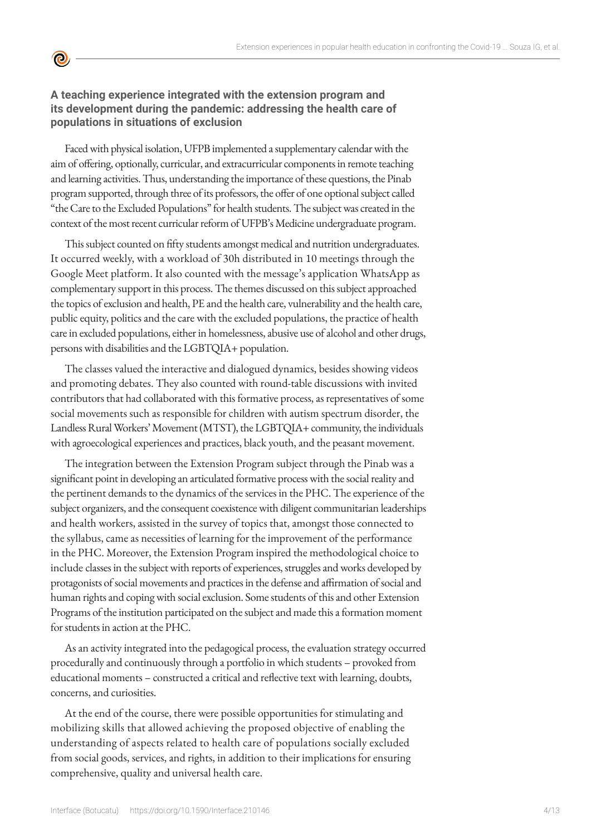

**©** 

Faced with physical isolation, UFPB implemented a supplementary calendar with the aim of offering, optionally, curricular, and extracurricular components in remote teaching and learning activities. Thus, understanding the importance of these questions, the Pinab program supported, through three of its professors, the offer of one optional subject called "the Care to the Excluded Populations" for health students. The subject was created in the context of the most recent curricular reform of UFPB's Medicine undergraduate program.

This subject counted on fifty students amongst medical and nutrition undergraduates. It occurred weekly, with a workload of 30h distributed in 10 meetings through the Google Meet platform. It also counted with the message's application WhatsApp as complementary support in this process. The themes discussed on this subject approached the topics of exclusion and health, PE and the health care, vulnerability and the health care, public equity, politics and the care with the excluded populations, the practice of health care in excluded populations, either in homelessness, abusive use of alcohol and other drugs, persons with disabilities and the LGBTQIA+ population.

The classes valued the interactive and dialogued dynamics, besides showing videos and promoting debates. They also counted with round-table discussions with invited contributors that had collaborated with this formative process, as representatives of some social movements such as responsible for children with autism spectrum disorder, the Landless Rural Workers' Movement (MTST), the LGBTQIA+ community, the individuals with agroecological experiences and practices, black youth, and the peasant movement.

The integration between the Extension Program subject through the Pinab was a significant point in developing an articulated formative process with the social reality and the pertinent demands to the dynamics of the services in the PHC. The experience of the subject organizers, and the consequent coexistence with diligent communitarian leaderships and health workers, assisted in the survey of topics that, amongst those connected to the syllabus, came as necessities of learning for the improvement of the performance in the PHC. Moreover, the Extension Program inspired the methodological choice to include classes in the subject with reports of experiences, struggles and works developed by protagonists of social movements and practices in the defense and affirmation of social and human rights and coping with social exclusion. Some students of this and other Extension Programs of the institution participated on the subject and made this a formation moment for students in action at the PHC.

As an activity integrated into the pedagogical process, the evaluation strategy occurred procedurally and continuously through a portfolio in which students – provoked from educational moments – constructed a critical and reflective text with learning, doubts, concerns, and curiosities.

At the end of the course, there were possible opportunities for stimulating and mobilizing skills that allowed achieving the proposed objective of enabling the understanding of aspects related to health care of populations socially excluded from social goods, services, and rights, in addition to their implications for ensuring comprehensive, quality and universal health care.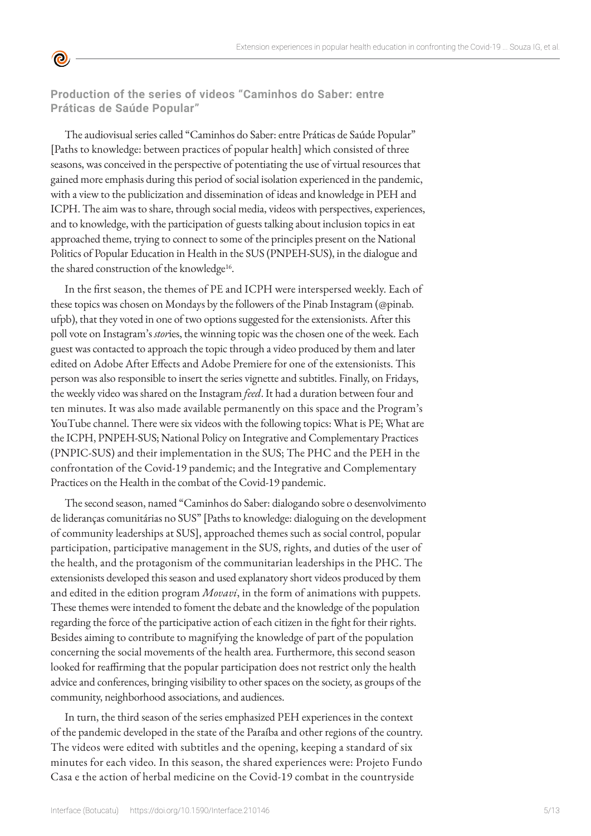

**Production of the series of videos "Caminhos do Saber: entre Práticas de Saúde Popular"** 

The audiovisual series called "Caminhos do Saber: entre Práticas de Saúde Popular" [Paths to knowledge: between practices of popular health] which consisted of three seasons, was conceived in the perspective of potentiating the use of virtual resources that gained more emphasis during this period of social isolation experienced in the pandemic, with a view to the publicization and dissemination of ideas and knowledge in PEH and ICPH. The aim was to share, through social media, videos with perspectives, experiences, and to knowledge, with the participation of guests talking about inclusion topics in eat approached theme, trying to connect to some of the principles present on the National Politics of Popular Education in Health in the SUS (PNPEH-SUS), in the dialogue and the shared construction of the knowledge<sup>16</sup>.

In the first season, the themes of PE and ICPH were interspersed weekly. Each of these topics was chosen on Mondays by the followers of the Pinab Instagram (@pinab. ufpb), that they voted in one of two options suggested for the extensionists. After this poll vote on Instagram's *stor*ies, the winning topic was the chosen one of the week. Each guest was contacted to approach the topic through a video produced by them and later edited on Adobe After Effects and Adobe Premiere for one of the extensionists. This person was also responsible to insert the series vignette and subtitles. Finally, on Fridays, the weekly video was shared on the Instagram *feed*. It had a duration between four and ten minutes. It was also made available permanently on this space and the Program's YouTube channel. There were six videos with the following topics: What is PE; What are the ICPH, PNPEH-SUS; National Policy on Integrative and Complementary Practices (PNPIC-SUS) and their implementation in the SUS; The PHC and the PEH in the confrontation of the Covid-19 pandemic; and the Integrative and Complementary Practices on the Health in the combat of the Covid-19 pandemic.

The second season, named "Caminhos do Saber: dialogando sobre o desenvolvimento de lideranças comunitárias no SUS" [Paths to knowledge: dialoguing on the development of community leaderships at SUS], approached themes such as social control, popular participation, participative management in the SUS, rights, and duties of the user of the health, and the protagonism of the communitarian leaderships in the PHC. The extensionists developed this season and used explanatory short videos produced by them and edited in the edition program *Movavi*, in the form of animations with puppets. These themes were intended to foment the debate and the knowledge of the population regarding the force of the participative action of each citizen in the fight for their rights. Besides aiming to contribute to magnifying the knowledge of part of the population concerning the social movements of the health area. Furthermore, this second season looked for reaffirming that the popular participation does not restrict only the health advice and conferences, bringing visibility to other spaces on the society, as groups of the community, neighborhood associations, and audiences.

In turn, the third season of the series emphasized PEH experiences in the context of the pandemic developed in the state of the Paraíba and other regions of the country. The videos were edited with subtitles and the opening, keeping a standard of six minutes for each video. In this season, the shared experiences were: Projeto Fundo Casa e the action of herbal medicine on the Covid-19 combat in the countryside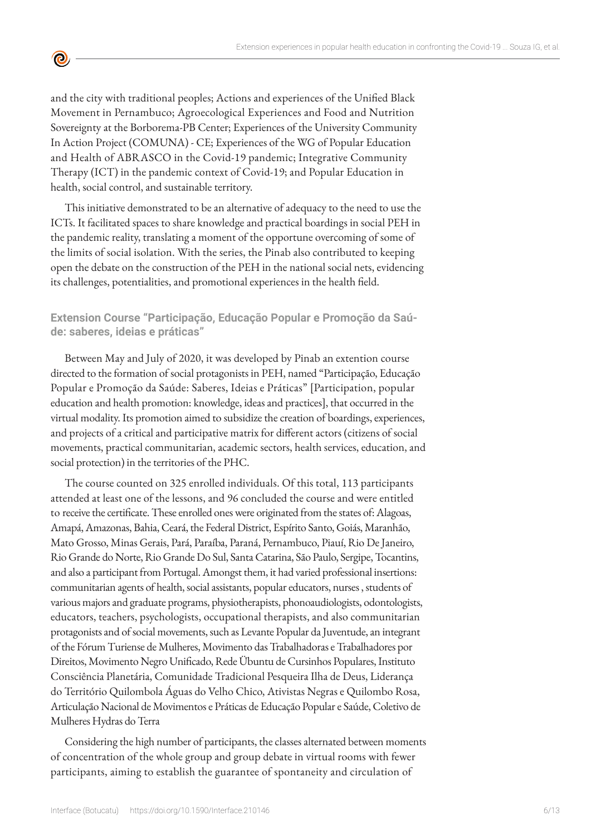and the city with traditional peoples; Actions and experiences of the Unified Black Movement in Pernambuco; Agroecological Experiences and Food and Nutrition Sovereignty at the Borborema-PB Center; Experiences of the University Community In Action Project (COMUNA) - CE; Experiences of the WG of Popular Education and Health of ABRASCO in the Covid-19 pandemic; Integrative Community Therapy (ICT) in the pandemic context of Covid-19; and Popular Education in health, social control, and sustainable territory.

 $\bullet$ 

This initiative demonstrated to be an alternative of adequacy to the need to use the ICTs. It facilitated spaces to share knowledge and practical boardings in social PEH in the pandemic reality, translating a moment of the opportune overcoming of some of the limits of social isolation. With the series, the Pinab also contributed to keeping open the debate on the construction of the PEH in the national social nets, evidencing its challenges, potentialities, and promotional experiences in the health field.

**Extension Course "Participação, Educação Popular e Promoção da Saúde: saberes, ideias e práticas"**

Between May and July of 2020, it was developed by Pinab an extention course directed to the formation of social protagonists in PEH, named "Participação, Educação Popular e Promoção da Saúde: Saberes, Ideias e Práticas" [Participation, popular education and health promotion: knowledge, ideas and practices], that occurred in the virtual modality. Its promotion aimed to subsidize the creation of boardings, experiences, and projects of a critical and participative matrix for different actors (citizens of social movements, practical communitarian, academic sectors, health services, education, and social protection) in the territories of the PHC.

The course counted on 325 enrolled individuals. Of this total, 113 participants attended at least one of the lessons, and 96 concluded the course and were entitled to receive the certificate. These enrolled ones were originated from the states of: Alagoas, Amapá, Amazonas, Bahia, Ceará, the Federal District, Espírito Santo, Goiás, Maranhão, Mato Grosso, Minas Gerais, Pará, Paraíba, Paraná, Pernambuco, Piauí, Rio De Janeiro, Rio Grande do Norte, Rio Grande Do Sul, Santa Catarina, São Paulo, Sergipe, Tocantins, and also a participant from Portugal. Amongst them, it had varied professional insertions: communitarian agents of health, social assistants, popular educators, nurses , students of various majors and graduate programs, physiotherapists, phonoaudiologists, odontologists, educators, teachers, psychologists, occupational therapists, and also communitarian protagonists and of social movements, such as Levante Popular da Juventude, an integrant of the Fórum Turiense de Mulheres, Movimento das Trabalhadoras e Trabalhadores por Direitos, Movimento Negro Unificado, Rede Übuntu de Cursinhos Populares, Instituto Consciência Planetária, Comunidade Tradicional Pesqueira Ilha de Deus, Liderança do Território Quilombola Águas do Velho Chico, Ativistas Negras e Quilombo Rosa, Articulação Nacional de Movimentos e Práticas de Educação Popular e Saúde, Coletivo de Mulheres Hydras do Terra

Considering the high number of participants, the classes alternated between moments of concentration of the whole group and group debate in virtual rooms with fewer participants, aiming to establish the guarantee of spontaneity and circulation of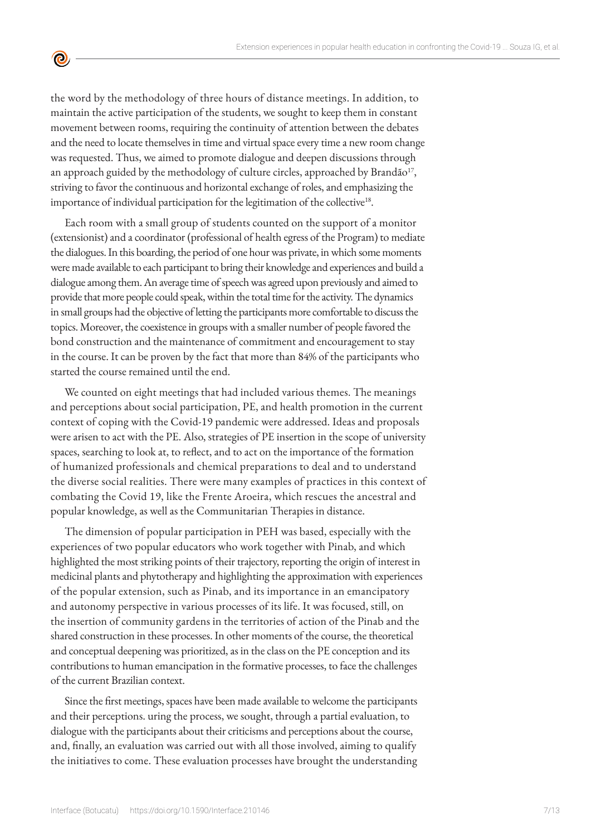the word by the methodology of three hours of distance meetings. In addition, to maintain the active participation of the students, we sought to keep them in constant movement between rooms, requiring the continuity of attention between the debates and the need to locate themselves in time and virtual space every time a new room change was requested. Thus, we aimed to promote dialogue and deepen discussions through an approach guided by the methodology of culture circles, approached by Brandão<sup>17</sup>, striving to favor the continuous and horizontal exchange of roles, and emphasizing the importance of individual participation for the legitimation of the collective<sup>18</sup>.

 $\bullet$ 

Each room with a small group of students counted on the support of a monitor (extensionist) and a coordinator (professional of health egress of the Program) to mediate the dialogues. In this boarding, the period of one hour was private, in which some moments were made available to each participant to bring their knowledge and experiences and build a dialogue among them. An average time of speech was agreed upon previously and aimed to provide that more people could speak, within the total time for the activity. The dynamics in small groups had the objective of letting the participants more comfortable to discuss the topics. Moreover, the coexistence in groups with a smaller number of people favored the bond construction and the maintenance of commitment and encouragement to stay in the course. It can be proven by the fact that more than 84% of the participants who started the course remained until the end.

We counted on eight meetings that had included various themes. The meanings and perceptions about social participation, PE, and health promotion in the current context of coping with the Covid-19 pandemic were addressed. Ideas and proposals were arisen to act with the PE. Also, strategies of PE insertion in the scope of university spaces, searching to look at, to reflect, and to act on the importance of the formation of humanized professionals and chemical preparations to deal and to understand the diverse social realities. There were many examples of practices in this context of combating the Covid 19, like the Frente Aroeira, which rescues the ancestral and popular knowledge, as well as the Communitarian Therapies in distance.

The dimension of popular participation in PEH was based, especially with the experiences of two popular educators who work together with Pinab, and which highlighted the most striking points of their trajectory, reporting the origin of interest in medicinal plants and phytotherapy and highlighting the approximation with experiences of the popular extension, such as Pinab, and its importance in an emancipatory and autonomy perspective in various processes of its life. It was focused, still, on the insertion of community gardens in the territories of action of the Pinab and the shared construction in these processes. In other moments of the course, the theoretical and conceptual deepening was prioritized, as in the class on the PE conception and its contributions to human emancipation in the formative processes, to face the challenges of the current Brazilian context.

Since the first meetings, spaces have been made available to welcome the participants and their perceptions. uring the process, we sought, through a partial evaluation, to dialogue with the participants about their criticisms and perceptions about the course, and, finally, an evaluation was carried out with all those involved, aiming to qualify the initiatives to come. These evaluation processes have brought the understanding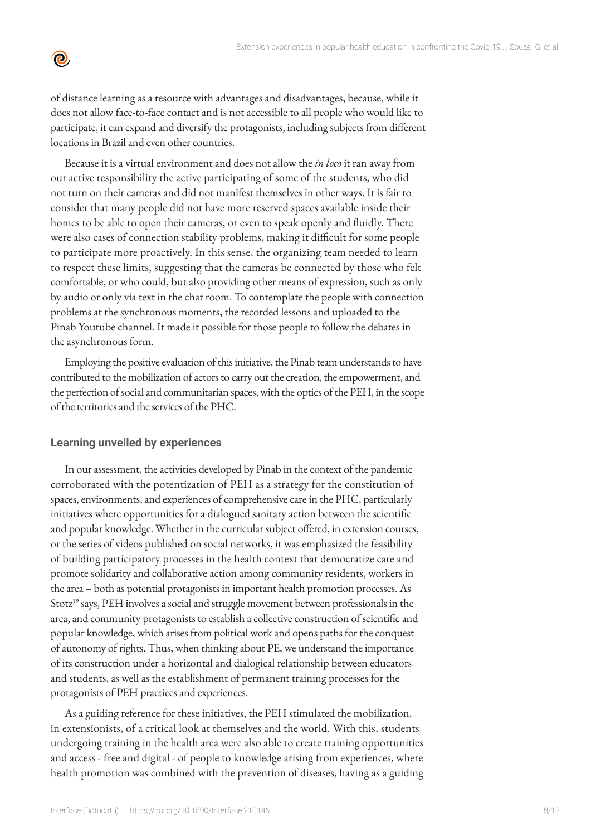

Because it is a virtual environment and does not allow the *in loco* it ran away from our active responsibility the active participating of some of the students, who did not turn on their cameras and did not manifest themselves in other ways. It is fair to consider that many people did not have more reserved spaces available inside their homes to be able to open their cameras, or even to speak openly and fluidly. There were also cases of connection stability problems, making it difficult for some people to participate more proactively. In this sense, the organizing team needed to learn to respect these limits, suggesting that the cameras be connected by those who felt comfortable, or who could, but also providing other means of expression, such as only by audio or only via text in the chat room. To contemplate the people with connection problems at the synchronous moments, the recorded lessons and uploaded to the Pinab Youtube channel. It made it possible for those people to follow the debates in the asynchronous form.

Employing the positive evaluation of this initiative, the Pinab team understands to have contributed to the mobilization of actors to carry out the creation, the empowerment, and the perfection of social and communitarian spaces, with the optics of the PEH, in the scope of the territories and the services of the PHC.

#### **Learning unveiled by experiences**

 $\bullet$ 

In our assessment, the activities developed by Pinab in the context of the pandemic corroborated with the potentization of PEH as a strategy for the constitution of spaces, environments, and experiences of comprehensive care in the PHC, particularly initiatives where opportunities for a dialogued sanitary action between the scientific and popular knowledge. Whether in the curricular subject offered, in extension courses, or the series of videos published on social networks, it was emphasized the feasibility of building participatory processes in the health context that democratize care and promote solidarity and collaborative action among community residents, workers in the area – both as potential protagonists in important health promotion processes. As Stotz<sup>19</sup> says, PEH involves a social and struggle movement between professionals in the area, and community protagonists to establish a collective construction of scientific and popular knowledge, which arises from political work and opens paths for the conquest of autonomy of rights. Thus, when thinking about PE, we understand the importance of its construction under a horizontal and dialogical relationship between educators and students, as well as the establishment of permanent training processes for the protagonists of PEH practices and experiences.

As a guiding reference for these initiatives, the PEH stimulated the mobilization, in extensionists, of a critical look at themselves and the world. With this, students undergoing training in the health area were also able to create training opportunities and access - free and digital - of people to knowledge arising from experiences, where health promotion was combined with the prevention of diseases, having as a guiding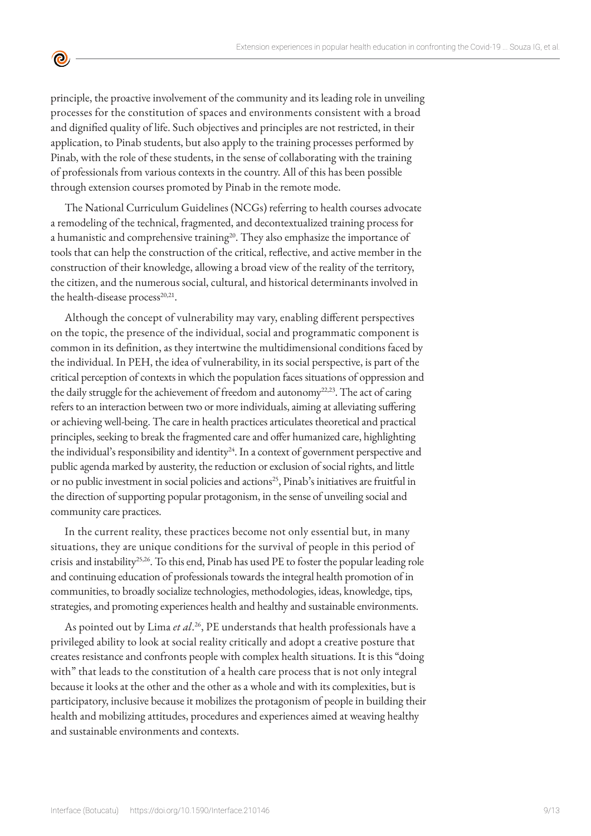principle, the proactive involvement of the community and its leading role in unveiling processes for the constitution of spaces and environments consistent with a broad and dignified quality of life. Such objectives and principles are not restricted, in their application, to Pinab students, but also apply to the training processes performed by Pinab, with the role of these students, in the sense of collaborating with the training of professionals from various contexts in the country. All of this has been possible through extension courses promoted by Pinab in the remote mode.

<u>ල</u>

The National Curriculum Guidelines (NCGs) referring to health courses advocate a remodeling of the technical, fragmented, and decontextualized training process for a humanistic and comprehensive training<sup>20</sup>. They also emphasize the importance of tools that can help the construction of the critical, reflective, and active member in the construction of their knowledge, allowing a broad view of the reality of the territory, the citizen, and the numerous social, cultural, and historical determinants involved in the health-disease process<sup>20,21</sup>.

Although the concept of vulnerability may vary, enabling different perspectives on the topic, the presence of the individual, social and programmatic component is common in its definition, as they intertwine the multidimensional conditions faced by the individual. In PEH, the idea of vulnerability, in its social perspective, is part of the critical perception of contexts in which the population faces situations of oppression and the daily struggle for the achievement of freedom and autonomy<sup>22,23</sup>. The act of caring refers to an interaction between two or more individuals, aiming at alleviating suffering or achieving well-being. The care in health practices articulates theoretical and practical principles, seeking to break the fragmented care and offer humanized care, highlighting the individual's responsibility and identity $24$ . In a context of government perspective and public agenda marked by austerity, the reduction or exclusion of social rights, and little or no public investment in social policies and actions<sup>25</sup>, Pinab's initiatives are fruitful in the direction of supporting popular protagonism, in the sense of unveiling social and community care practices.

In the current reality, these practices become not only essential but, in many situations, they are unique conditions for the survival of people in this period of crisis and instability<sup>25,26</sup>. To this end, Pinab has used PE to foster the popular leading role and continuing education of professionals towards the integral health promotion of in communities, to broadly socialize technologies, methodologies, ideas, knowledge, tips, strategies, and promoting experiences health and healthy and sustainable environments.

As pointed out by Lima *et al*. 26, PE understands that health professionals have a privileged ability to look at social reality critically and adopt a creative posture that creates resistance and confronts people with complex health situations. It is this "doing with" that leads to the constitution of a health care process that is not only integral because it looks at the other and the other as a whole and with its complexities, but is participatory, inclusive because it mobilizes the protagonism of people in building their health and mobilizing attitudes, procedures and experiences aimed at weaving healthy and sustainable environments and contexts.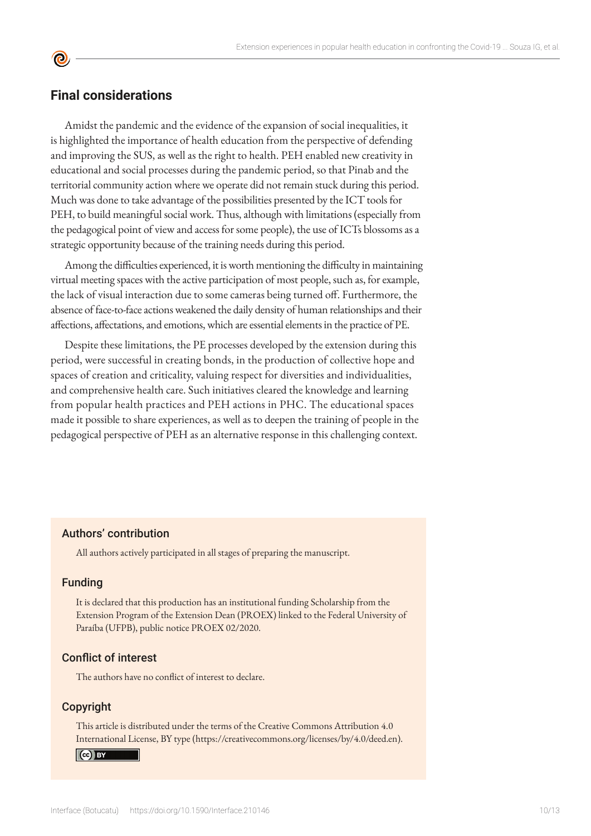### **Final considerations**

Amidst the pandemic and the evidence of the expansion of social inequalities, it is highlighted the importance of health education from the perspective of defending and improving the SUS, as well as the right to health. PEH enabled new creativity in educational and social processes during the pandemic period, so that Pinab and the territorial community action where we operate did not remain stuck during this period. Much was done to take advantage of the possibilities presented by the ICT tools for PEH, to build meaningful social work. Thus, although with limitations (especially from the pedagogical point of view and access for some people), the use of ICTs blossoms as a strategic opportunity because of the training needs during this period.

Among the difficulties experienced, it is worth mentioning the difficulty in maintaining virtual meeting spaces with the active participation of most people, such as, for example, the lack of visual interaction due to some cameras being turned off. Furthermore, the absence of face-to-face actions weakened the daily density of human relationships and their affections, affectations, and emotions, which are essential elements in the practice of PE.

Despite these limitations, the PE processes developed by the extension during this period, were successful in creating bonds, in the production of collective hope and spaces of creation and criticality, valuing respect for diversities and individualities, and comprehensive health care. Such initiatives cleared the knowledge and learning from popular health practices and PEH actions in PHC. The educational spaces made it possible to share experiences, as well as to deepen the training of people in the pedagogical perspective of PEH as an alternative response in this challenging context.

#### Authors' contribution

All authors actively participated in all stages of preparing the manuscript.

#### Funding

It is declared that this production has an institutional funding Scholarship from the Extension Program of the Extension Dean (PROEX) linked to the Federal University of Paraíba (UFPB), public notice PROEX 02/2020.

#### Conflict of interest

The authors have no conflict of interest to declare.

#### Copyright

This article is distributed under the terms of the Creative Commons Attribution 4.0 International License, BY type (https://creativecommons.org/licenses/by/4.0/deed.en).

#### Cc BY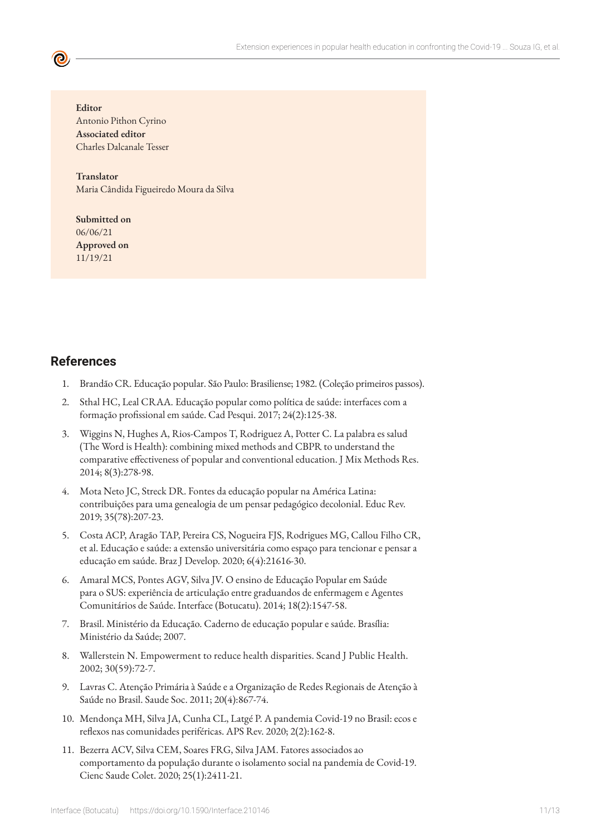**Editor** Antonio Pithon Cyrino **Associated editor** Charles Dalcanale Tesser

**Translator** Maria Cândida Figueiredo Moura da Silva

**Submitted on** 06/06/21 **Approved on** 11/19/21

# **References**

- 1. Brandão CR. Educação popular. São Paulo: Brasiliense; 1982. (Coleção primeiros passos).
- 2. Sthal HC, Leal CRAA. Educação popular como política de saúde: interfaces com a formação profissional em saúde. Cad Pesqui. 2017; 24(2):125-38.
- 3. Wiggins N, Hughes A, Rios-Campos T, Rodriguez A, Potter C. La palabra es salud (The Word is Health): combining mixed methods and CBPR to understand the comparative effectiveness of popular and conventional education. J Mix Methods Res. 2014; 8(3):278-98.
- 4. Mota Neto JC, Streck DR. Fontes da educação popular na América Latina: contribuições para uma genealogia de um pensar pedagógico decolonial. Educ Rev. 2019; 35(78):207-23.
- 5. Costa ACP, Aragão TAP, Pereira CS, Nogueira FJS, Rodrigues MG, Callou Filho CR, et al. Educação e saúde: a extensão universitária como espaço para tencionar e pensar a educação em saúde. Braz J Develop. 2020; 6(4):21616-30.
- 6. Amaral MCS, Pontes AGV, Silva JV. O ensino de Educação Popular em Saúde para o SUS: experiência de articulação entre graduandos de enfermagem e Agentes Comunitários de Saúde. Interface (Botucatu). 2014; 18(2):1547-58.
- 7. Brasil. Ministério da Educação. Caderno de educação popular e saúde. Brasília: Ministério da Saúde; 2007.
- 8. Wallerstein N. Empowerment to reduce health disparities. Scand J Public Health. 2002; 30(59):72-7.
- 9. Lavras C. Atenção Primária à Saúde e a Organização de Redes Regionais de Atenção à Saúde no Brasil. Saude Soc. 2011; 20(4):867-74.
- 10. Mendonça MH, Silva JA, Cunha CL, Latgé P. A pandemia Covid-19 no Brasil: ecos e reflexos nas comunidades periféricas. APS Rev. 2020; 2(2):162-8.
- 11. Bezerra ACV, Silva CEM, Soares FRG, Silva JAM. Fatores associados ao comportamento da população durante o isolamento social na pandemia de Covid-19. Cienc Saude Colet. 2020; 25(1):2411-21.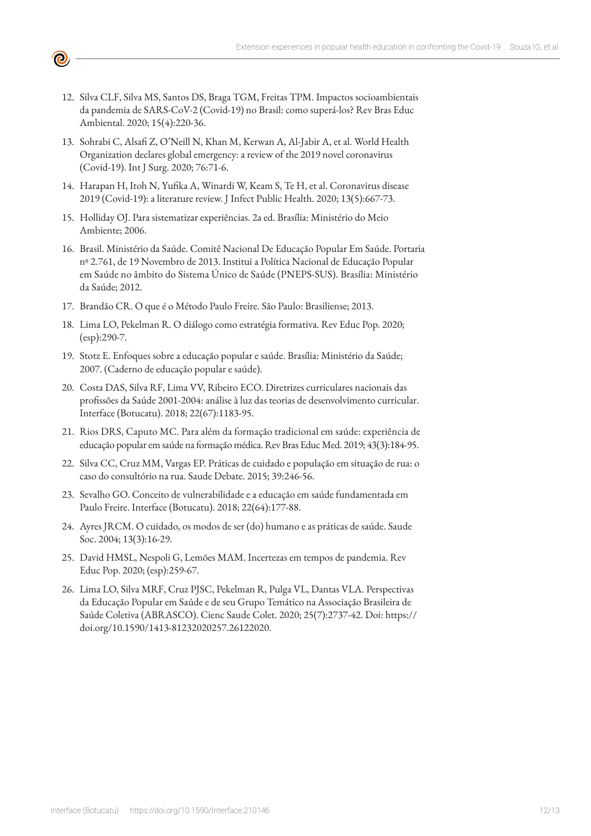12. Silva CLF, Silva MS, Santos DS, Braga TGM, Freitas TPM. Impactos socioambientais da pandemia de SARS-CoV-2 (Covid-19) no Brasil: como superá-los? Rev Bras Educ Ambiental. 2020; 15(4):220-36.

(0)

- 13. Sohrabi C, Alsafi Z, O'Neill N, Khan M, Kerwan A, Al-Jabir A, et al. World Health Organization declares global emergency: a review of the 2019 novel coronavirus (Covid-19). Int J Surg. 2020; 76:71-6.
- 14. Harapan H, Itoh N, Yufika A, Winardi W, Keam S, Te H, et al. Coronavirus disease 2019 (Covid-19): a literature review. J Infect Public Health. 2020; 13(5):667-73.
- 15. Holliday OJ. Para sistematizar experiências. 2a ed. Brasília: Ministério do Meio Ambiente; 2006.
- 16. Brasil. Ministério da Saúde. Comitê Nacional De Educação Popular Em Saúde. Portaria nº 2.761, de 19 Novembro de 2013. Institui a Política Nacional de Educação Popular em Saúde no âmbito do Sistema Único de Saúde (PNEPS-SUS). Brasília: Ministério da Saúde; 2012.
- 17. Brandão CR. O que é o Método Paulo Freire. São Paulo: Brasiliense; 2013.
- 18. Lima LO, Pekelman R. O diálogo como estratégia formativa. Rev Educ Pop. 2020; (esp):290-7.
- 19. Stotz E. Enfoques sobre a educação popular e saúde. Brasília: Ministério da Saúde; 2007. (Caderno de educação popular e saúde).
- 20. Costa DAS, Silva RF, Lima VV, Ribeiro ECO. Diretrizes curriculares nacionais das profissões da Saúde 2001-2004: análise à luz das teorias de desenvolvimento curricular. Interface (Botucatu). 2018; 22(67):1183-95.
- 21. Rios DRS, Caputo MC. Para além da formação tradicional em saúde: experiência de educação popular em saúde na formação médica. Rev Bras Educ Med. 2019; 43(3):184-95.
- 22. Silva CC, Cruz MM, Vargas EP. Práticas de cuidado e população em situação de rua: o caso do consultório na rua. Saude Debate. 2015; 39:246-56.
- 23. Sevalho GO. Conceito de vulnerabilidade e a educação em saúde fundamentada em Paulo Freire. Interface (Botucatu). 2018; 22(64):177-88.
- 24. Ayres JRCM. O cuidado, os modos de ser (do) humano e as práticas de saúde. Saude Soc. 2004; 13(3):16-29.
- 25. David HMSL, Nespoli G, Lemões MAM. Incertezas em tempos de pandemia. Rev Educ Pop. 2020; (esp):259-67.
- 26. Lima LO, Silva MRF, Cruz PJSC, Pekelman R, Pulga VL, Dantas VLA. Perspectivas da Educação Popular em Saúde e de seu Grupo Temático na Associação Brasileira de Saúde Coletiva (ABRASCO). Cienc Saude Colet. 2020; 25(7):2737-42. Doi: https:// doi.org/10.1590/1413-81232020257.26122020.